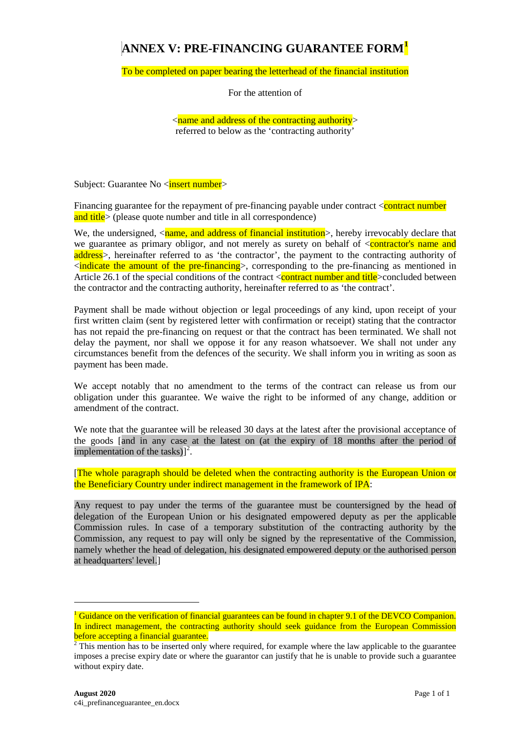## **ANNEX V: PRE-FINANCING GUARANTEE FORM[1](#page-0-0)**

To be completed on paper bearing the letterhead of the financial institution

For the attention of

 $\le$ name and address of the contracting authority> referred to below as the 'contracting authority'

Subject: Guarantee No <**insert number**>

Financing guarantee for the repayment of pre-financing payable under contract  $\alpha$  contract number and title> (please quote number and title in all correspondence)

We, the undersigned,  $\langle$ name, and address of financial institution $\rangle$ , hereby irrevocably declare that we guarantee as primary obligor, and not merely as surety on behalf of  $\leq$  contractor's name and address>, hereinafter referred to as 'the contractor', the payment to the contracting authority of  $\alpha$  indicate the amount of the pre-financing  $>$ , corresponding to the pre-financing as mentioned in Article 26.1 of the special conditions of the contract <contract number and title >concluded between the contractor and the contracting authority, hereinafter referred to as 'the contract'.

Payment shall be made without objection or legal proceedings of any kind, upon receipt of your first written claim (sent by registered letter with confirmation or receipt) stating that the contractor has not repaid the pre-financing on request or that the contract has been terminated. We shall not delay the payment, nor shall we oppose it for any reason whatsoever. We shall not under any circumstances benefit from the defences of the security. We shall inform you in writing as soon as payment has been made.

We accept notably that no amendment to the terms of the contract can release us from our obligation under this guarantee. We waive the right to be informed of any change, addition or amendment of the contract.

We note that the guarantee will be released 30 days at the latest after the provisional acceptance of the goods [and in any case at the latest on (at the expiry of 18 months after the period of implementation of the tasks) $]^{2}$  $]^{2}$  $]^{2}$ .

[The whole paragraph should be deleted when the contracting authority is the European Union or the Beneficiary Country under indirect management in the framework of IPA:

Any request to pay under the terms of the guarantee must be countersigned by the head of delegation of the European Union or his designated empowered deputy as per the applicable Commission rules. In case of a temporary substitution of the contracting authority by the Commission, any request to pay will only be signed by the representative of the Commission, namely whether the head of delegation, his designated empowered deputy or the authorised person at headquarters' level.]

-

<span id="page-0-0"></span><sup>&</sup>lt;sup>1</sup> Guidance on the verification of financial guarantees can be found in chapter 9.1 of the DEVCO Companion. In indirect management, the contracting authority should seek guidance from the European Commission before accepting a financial guarantee.

<span id="page-0-1"></span> $2$  This mention has to be inserted only where required, for example where the law applicable to the guarantee imposes a precise expiry date or where the guarantor can justify that he is unable to provide such a guarantee without expiry date.